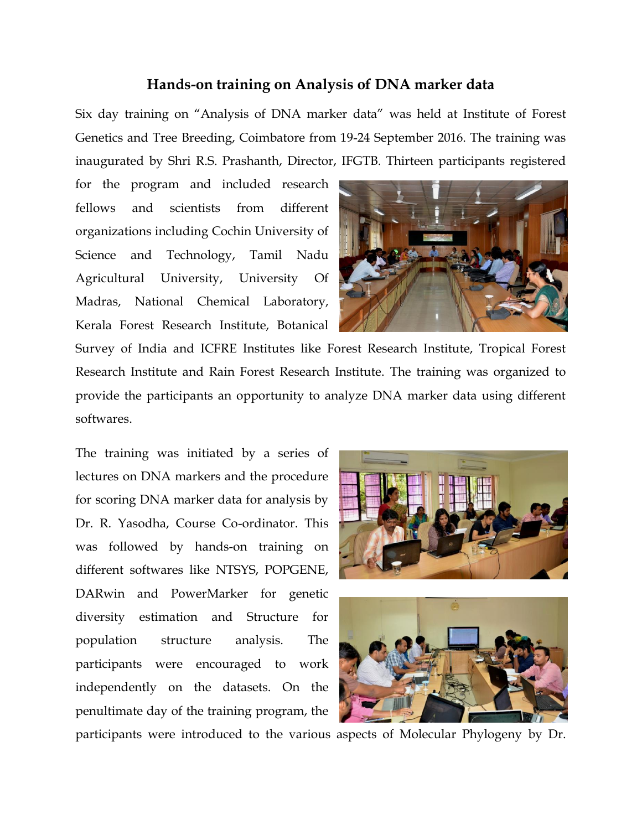## **Hands-on training on Analysis of DNA marker data**

Six day training on "Analysis of DNA marker data" was held at Institute of Forest Genetics and Tree Breeding, Coimbatore from 19-24 September 2016. The training was inaugurated by Shri R.S. Prashanth, Director, IFGTB. Thirteen participants registered

for the program and included research fellows and scientists from different organizations including Cochin University of Science and Technology, Tamil Nadu Agricultural University, University Of Madras, National Chemical Laboratory, Kerala Forest Research Institute, Botanical



Survey of India and ICFRE Institutes like Forest Research Institute, Tropical Forest Research Institute and Rain Forest Research Institute. The training was organized to provide the participants an opportunity to analyze DNA marker data using different softwares.

The training was initiated by a series of lectures on DNA markers and the procedure for scoring DNA marker data for analysis by Dr. R. Yasodha, Course Co-ordinator. This was followed by hands-on training on different softwares like NTSYS, POPGENE, DARwin and PowerMarker for genetic diversity estimation and Structure for population structure analysis. The participants were encouraged to work independently on the datasets. On the penultimate day of the training program, the





participants were introduced to the various aspects of Molecular Phylogeny by Dr.